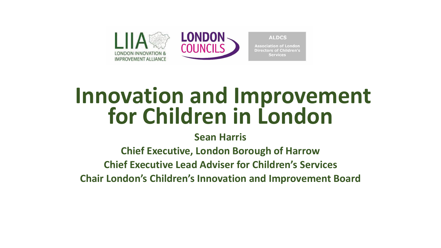

## **Innovation and Improvement for Children in London**

**Sean Harris**

**Chief Executive, London Borough of Harrow Chief Executive Lead Adviser for Children's Services Chair London's Children's Innovation and Improvement Board**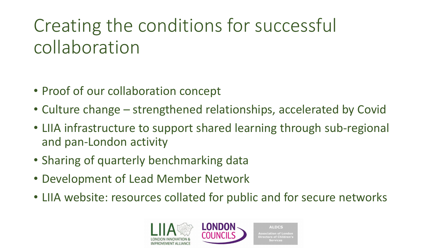## Creating the conditions for successful collaboration

- Proof of our collaboration concept
- Culture change strengthened relationships, accelerated by Covid
- LIIA infrastructure to support shared learning through sub-regional and pan-London activity
- Sharing of quarterly benchmarking data
- Development of Lead Member Network
- LIIA website: resources collated for public and for secure networks

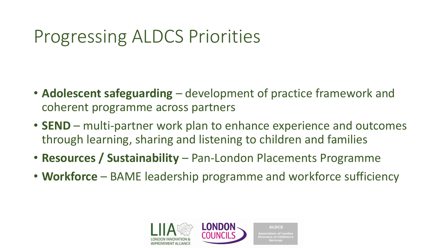## Progressing ALDCS Priorities

- **Adolescent safeguarding**  development of practice framework and coherent programme across partners
- **SEND** multi-partner work plan to enhance experience and outcomes through learning, sharing and listening to children and families
- **Resources / Sustainability**  Pan-London Placements Programme
- **Workforce** BAME leadership programme and workforce sufficiency